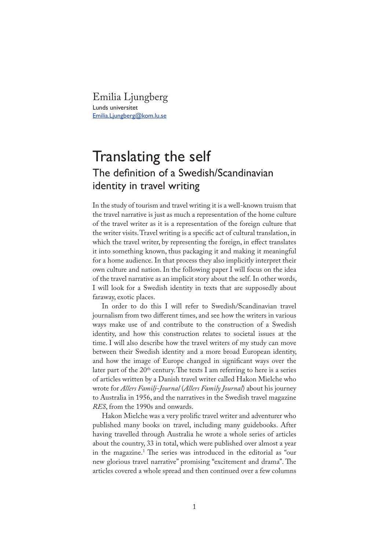Emilia Ljungberg Lunds universitet Emilia.Ljungberg@kom.lu.se

## Translating the self The definition of a Swedish/Scandinavian identity in travel writing

In the study of tourism and travel writing it is a well-known truism that the travel narrative is just as much a representation of the home culture of the travel writer as it is a representation of the foreign culture that the writer visits. Travel writing is a specific act of cultural translation, in which the travel writer, by representing the foreign, in effect translates it into something known, thus packaging it and making it meaningful for a home audience. In that process they also implicitly interpret their own culture and nation. In the following paper I will focus on the idea of the travel narrative as an implicit story about the self. In other words, I will look for a Swedish identity in texts that are supposedly about faraway, exotic places.

In order to do this I will refer to Swedish/Scandinavian travel journalism from two different times, and see how the writers in various ways make use of and contribute to the construction of a Swedish identity, and how this construction relates to societal issues at the time. I will also describe how the travel writers of my study can move between their Swedish identity and a more broad European identity, and how the image of Europe changed in significant ways over the later part of the  $20<sup>th</sup>$  century. The texts I am referring to here is a series of articles written by a Danish travel writer called Hakon Mielche who wrote for *Allers Familj-Journal* (*Allers Family Journal*) about his journey to Australia in 1956, and the narratives in the Swedish travel magazine *RES*, from the 1990s and onwards.

Hakon Mielche was a very prolific travel writer and adventurer who published many books on travel, including many guidebooks. After having travelled through Australia he wrote a whole series of articles about the country, 33 in total, which were published over almost a year in the magazine.<sup>1</sup> The series was introduced in the editorial as "our new glorious travel narrative" promising "excitement and drama". The articles covered a whole spread and then continued over a few columns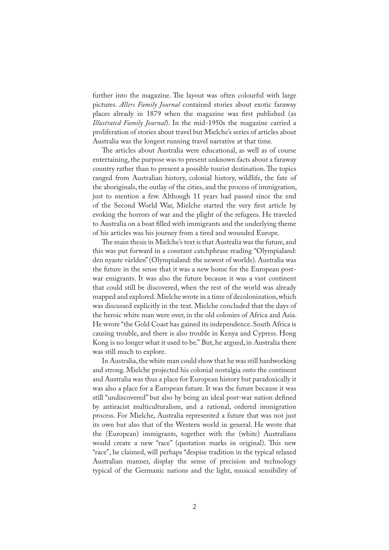further into the magazine. The layout was often colourful with large pictures. *Allers Family Journal* contained stories about exotic faraway places already in 1879 when the magazine was first published (as *Illustrated Family Journal*). In the mid-1950s the magazine carried a proliferation of stories about travel but Mielche's series of articles about Australia was the longest running travel narrative at that time.

�e articles about Australia were educational, as well as of course entertaining, the purpose was to present unknown facts about a faraway country rather than to present a possible tourist destination. The topics ranged from Australian history, colonial history, wildlife, the fate of the aboriginals, the outlay of the cities, and the process of immigration, just to mention a few. Although 11 years had passed since the end of the Second World War, Mielche started the very first article by evoking the horrors of war and the plight of the refugees. He traveled to Australia on a boat filled with immigrants and the underlying theme of his articles was his journey from a tired and wounded Europe.

�e main thesis in Mielche's text is that Australia was the future, and this was put forward in a constant catchphrase reading "Olympialand: den nyaste världen" (Olympialand: the newest of worlds). Australia was the future in the sense that it was a new home for the European postwar emigrants. It was also the future because it was a vast continent that could still be discovered, when the rest of the world was already mapped and explored. Mielche wrote in a time of decolonization, which was discussed explicitly in the text. Mielche concluded that the days of the heroic white man were over, in the old colonies of Africa and Asia. He wrote "the Gold Coast has gained its independence. South Africa is causing trouble, and there is also trouble in Kenya and Cypress. Hong Kong is no longer what it used to be." But, he argued, in Australia there was still much to explore.

In Australia, the white man could show that he was still hardworking and strong. Mielche projected his colonial nostalgia onto the continent and Australia was thus a place for European history but paradoxically it was also a place for a European future. It was the future because it was still "undiscovered" but also by being an ideal post-war nation defined by antiracist multiculturalism, and a rational, ordered immigration process. For Mielche, Australia represented a future that was not just its own but also that of the Western world in general. He wrote that the (European) immigrants, together with the (white) Australians would create a new "race" (quotation marks in original). This new "race", he claimed, will perhaps "despise tradition in the typical relaxed Australian manner, display the sense of precision and technology typical of the Germanic nations and the light, musical sensibility of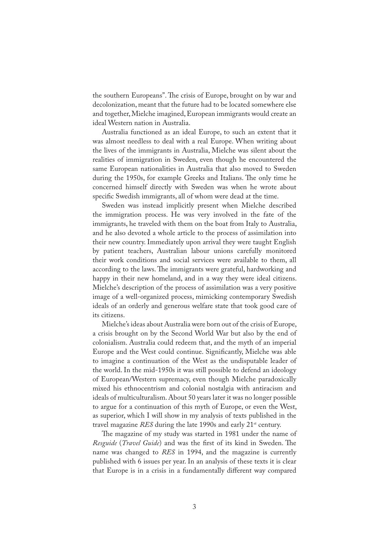the southern Europeans". The crisis of Europe, brought on by war and decolonization, meant that the future had to be located somewhere else and together, Mielche imagined, European immigrants would create an ideal Western nation in Australia.

Australia functioned as an ideal Europe, to such an extent that it was almost needless to deal with a real Europe. When writing about the lives of the immigrants in Australia, Mielche was silent about the realities of immigration in Sweden, even though he encountered the same European nationalities in Australia that also moved to Sweden during the 1950s, for example Greeks and Italians. The only time he concerned himself directly with Sweden was when he wrote about specific Swedish immigrants, all of whom were dead at the time.

Sweden was instead implicitly present when Mielche described the immigration process. He was very involved in the fate of the immigrants, he traveled with them on the boat from Italy to Australia, and he also devoted a whole article to the process of assimilation into their new country. Immediately upon arrival they were taught English by patient teachers, Australian labour unions carefully monitored their work conditions and social services were available to them, all according to the laws. The immigrants were grateful, hardworking and happy in their new homeland, and in a way they were ideal citizens. Mielche's description of the process of assimilation was a very positive image of a well-organized process, mimicking contemporary Swedish ideals of an orderly and generous welfare state that took good care of its citizens.

Mielche's ideas about Australia were born out of the crisis of Europe, a crisis brought on by the Second World War but also by the end of colonialism. Australia could redeem that, and the myth of an imperial Europe and the West could continue. Significantly, Mielche was able to imagine a continuation of the West as the undisputable leader of the world. In the mid-1950s it was still possible to defend an ideology of European/Western supremacy, even though Mielche paradoxically mixed his ethnocentrism and colonial nostalgia with antiracism and ideals of multiculturalism. About 50 years later it was no longer possible to argue for a continuation of this myth of Europe, or even the West, as superior, which I will show in my analysis of texts published in the travel magazine *RES* during the late 1990s and early 21<sup>st</sup> century.

The magazine of my study was started in 1981 under the name of *Resguide* (*Travel Guide*) and was the first of its kind in Sweden. The name was changed to *RES* in 1994, and the magazine is currently published with 6 issues per year. In an analysis of these texts it is clear that Europe is in a crisis in a fundamentally different way compared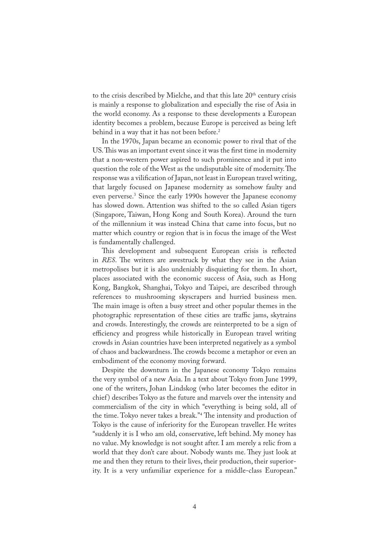to the crisis described by Mielche, and that this late 20<sup>th</sup> century crisis is mainly a response to globalization and especially the rise of Asia in the world economy. As a response to these developments a European identity becomes a problem, because Europe is perceived as being left behind in a way that it has not been before.<sup>2</sup>

In the 1970s, Japan became an economic power to rival that of the US. This was an important event since it was the first time in modernity that a non-western power aspired to such prominence and it put into question the role of the West as the undisputable site of modernity. The response was a vilification of Japan, not least in European travel writing, that largely focused on Japanese modernity as somehow faulty and even perverse.<sup>3</sup> Since the early 1990s however the Japanese economy has slowed down. Attention was shifted to the so called Asian tigers (Singapore, Taiwan, Hong Kong and South Korea). Around the turn of the millennium it was instead China that came into focus, but no matter which country or region that is in focus the image of the West is fundamentally challenged.

This development and subsequent European crisis is reflected in *RES*. The writers are awestruck by what they see in the Asian metropolises but it is also undeniably disquieting for them. In short, places associated with the economic success of Asia, such as Hong Kong, Bangkok, Shanghai, Tokyo and Taipei, are described through references to mushrooming skyscrapers and hurried business men. The main image is often a busy street and other popular themes in the photographic representation of these cities are traffic jams, skytrains and crowds. Interestingly, the crowds are reinterpreted to be a sign of efficiency and progress while historically in European travel writing crowds in Asian countries have been interpreted negatively as a symbol of chaos and backwardness. The crowds become a metaphor or even an embodiment of the economy moving forward.

Despite the downturn in the Japanese economy Tokyo remains the very symbol of a new Asia. In a text about Tokyo from June 1999, one of the writers, Johan Lindskog (who later becomes the editor in chief ) describes Tokyo as the future and marvels over the intensity and commercialism of the city in which "everything is being sold, all of the time. Tokyo never takes a break."<sup>4</sup> The intensity and production of Tokyo is the cause of inferiority for the European traveller. He writes "suddenly it is I who am old, conservative, left behind. My money has no value. My knowledge is not sought after. I am merely a relic from a world that they don't care about. Nobody wants me. They just look at me and then they return to their lives, their production, their superiority. It is a very unfamiliar experience for a middle-class European."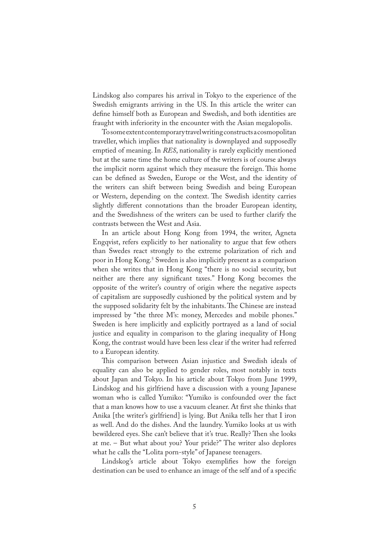Lindskog also compares his arrival in Tokyo to the experience of the Swedish emigrants arriving in the US. In this article the writer can define himself both as European and Swedish, and both identities are fraught with inferiority in the encounter with the Asian megalopolis.

To some extent contemporary travel writing constructs a cosmopolitan traveller, which implies that nationality is downplayed and supposedly emptied of meaning. In *RES*, nationality is rarely explicitly mentioned but at the same time the home culture of the writers is of course always the implicit norm against which they measure the foreign. This home can be defined as Sweden, Europe or the West, and the identity of the writers can shift between being Swedish and being European or Western, depending on the context. The Swedish identity carries slightly different connotations than the broader European identity, and the Swedishness of the writers can be used to further clarify the contrasts between the West and Asia.

In an article about Hong Kong from 1994, the writer, Agneta Engqvist, refers explicitly to her nationality to argue that few others than Swedes react strongly to the extreme polarization of rich and poor in Hong Kong.5 Sweden is also implicitly present as a comparison when she writes that in Hong Kong "there is no social security, but neither are there any significant taxes." Hong Kong becomes the opposite of the writer's country of origin where the negative aspects of capitalism are supposedly cushioned by the political system and by the supposed solidarity felt by the inhabitants. The Chinese are instead impressed by "the three M's: money, Mercedes and mobile phones." Sweden is here implicitly and explicitly portrayed as a land of social justice and equality in comparison to the glaring inequality of Hong Kong, the contrast would have been less clear if the writer had referred to a European identity.

This comparison between Asian injustice and Swedish ideals of equality can also be applied to gender roles, most notably in texts about Japan and Tokyo. In his article about Tokyo from June 1999, Lindskog and his girlfriend have a discussion with a young Japanese woman who is called Yumiko: "Yumiko is confounded over the fact that a man knows how to use a vacuum cleaner. At first she thinks that Anika [the writer's girlfriend] is lying. But Anika tells her that I iron as well. And do the dishes. And the laundry. Yumiko looks at us with bewildered eyes. She can't believe that it's true. Really? Then she looks at me. – But what about you? Your pride?" The writer also deplores what he calls the "Lolita porn-style" of Japanese teenagers.

Lindskog's article about Tokyo exemplifies how the foreign destination can be used to enhance an image of the self and of a specific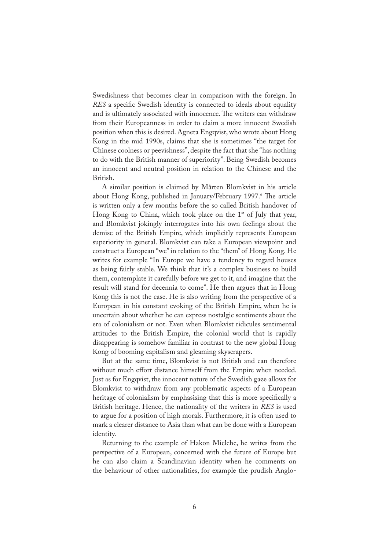Swedishness that becomes clear in comparison with the foreign. In *RES* a specific Swedish identity is connected to ideals about equality and is ultimately associated with innocence. The writers can withdraw from their Europeanness in order to claim a more innocent Swedish position when this is desired. Agneta Engqvist, who wrote about Hong Kong in the mid 1990s, claims that she is sometimes "the target for Chinese coolness or peevishness", despite the fact that she "has nothing to do with the British manner of superiority". Being Swedish becomes an innocent and neutral position in relation to the Chinese and the British.

A similar position is claimed by Mårten Blomkvist in his article about Hong Kong, published in January/February 1997.6 The article is written only a few months before the so called British handover of Hong Kong to China, which took place on the  $1<sup>st</sup>$  of July that year, and Blomkvist jokingly interrogates into his own feelings about the demise of the British Empire, which implicitly represents European superiority in general. Blomkvist can take a European viewpoint and construct a European "we" in relation to the "them" of Hong Kong. He writes for example "In Europe we have a tendency to regard houses as being fairly stable. We think that it's a complex business to build them, contemplate it carefully before we get to it, and imagine that the result will stand for decennia to come". He then argues that in Hong Kong this is not the case. He is also writing from the perspective of a European in his constant evoking of the British Empire, when he is uncertain about whether he can express nostalgic sentiments about the era of colonialism or not. Even when Blomkvist ridicules sentimental attitudes to the British Empire, the colonial world that is rapidly disappearing is somehow familiar in contrast to the new global Hong Kong of booming capitalism and gleaming skyscrapers.

But at the same time, Blomkvist is not British and can therefore without much effort distance himself from the Empire when needed. Just as for Engqvist, the innocent nature of the Swedish gaze allows for Blomkvist to withdraw from any problematic aspects of a European heritage of colonialism by emphasising that this is more specifically a British heritage. Hence, the nationality of the writers in *RES* is used to argue for a position of high morals. Furthermore, it is often used to mark a clearer distance to Asia than what can be done with a European identity.

Returning to the example of Hakon Mielche, he writes from the perspective of a European, concerned with the future of Europe but he can also claim a Scandinavian identity when he comments on the behaviour of other nationalities, for example the prudish Anglo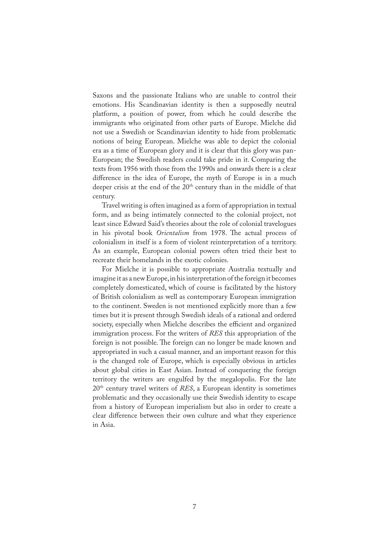Saxons and the passionate Italians who are unable to control their emotions. His Scandinavian identity is then a supposedly neutral platform, a position of power, from which he could describe the immigrants who originated from other parts of Europe. Mielche did not use a Swedish or Scandinavian identity to hide from problematic notions of being European. Mielche was able to depict the colonial era as a time of European glory and it is clear that this glory was pan-European; the Swedish readers could take pride in it. Comparing the texts from 1956 with those from the 1990s and onwards there is a clear difference in the idea of Europe, the myth of Europe is in a much deeper crisis at the end of the  $20<sup>th</sup>$  century than in the middle of that century.

Travel writing is often imagined as a form of appropriation in textual form, and as being intimately connected to the colonial project, not least since Edward Said's theories about the role of colonial travelogues in his pivotal book *Orientalism* from 1978. The actual process of colonialism in itself is a form of violent reinterpretation of a territory. As an example, European colonial powers often tried their best to recreate their homelands in the exotic colonies.

For Mielche it is possible to appropriate Australia textually and imagine it as a new Europe, in his interpretation of the foreign it becomes completely domesticated, which of course is facilitated by the history of British colonialism as well as contemporary European immigration to the continent. Sweden is not mentioned explicitly more than a few times but it is present through Swedish ideals of a rational and ordered society, especially when Mielche describes the efficient and organized immigration process. For the writers of *RES* this appropriation of the foreign is not possible. The foreign can no longer be made known and appropriated in such a casual manner, and an important reason for this is the changed role of Europe, which is especially obvious in articles about global cities in East Asian. Instead of conquering the foreign territory the writers are engulfed by the megalopolis. For the late 20th century travel writers of *RES*, a European identity is sometimes problematic and they occasionally use their Swedish identity to escape from a history of European imperialism but also in order to create a clear difference between their own culture and what they experience in Asia.